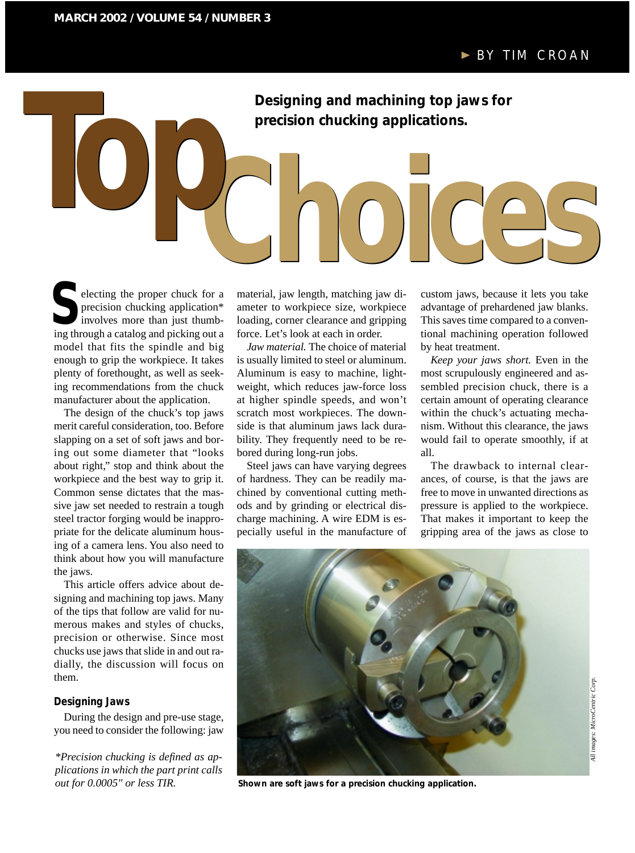**Designing and machining top jaws for precision chucking applications.** Designing and machining top jaws for<br>precision chucking applications.

electing the proper chuck for a precision chucking application\* involves more than just thumbing through a catalog and picking out a model that fits the spindle and big enough to grip the workpiece. It takes plenty of forethought, as well as seeking recommendations from the chuck manufacturer about the application. Electing the proper chuck for a material, jaw length, matching jaw di-<br>
precision chucking application\* ameter to workpiece size, workpiece advantage of prehardened jaw blanks.<br>
involves more than just thumb-<br>
loading, cor

The design of the chuck's top jaws merit careful consideration, too. Before slapping on a set of soft jaws and boring out some diameter that "looks about right," stop and think about the workpiece and the best way to grip it. Common sense dictates that the massive jaw set needed to restrain a tough steel tractor forging would be inappropriate for the delicate aluminum housing of a camera lens. You also need to think about how you will manufacture the jaws.

This article offers advice about designing and machining top jaws. Many of the tips that follow are valid for numerous makes and styles of chucks, precision or otherwise. Since most chucks use jaws that slide in and out radially, the discussion will focus on them.

## **Designing Jaws**

During the design and pre-use stage, you need to consider the following: jaw

*\*Precision chucking is defined as applications in which the part print calls out for 0.0005" or less TIR.*

material, jaw length, matching jaw diameter to workpiece size, workpiece loading, corner clearance and gripping force. Let's look at each in order.

*Jaw material.* The choice of material is usually limited to steel or aluminum. Aluminum is easy to machine, lightweight, which reduces jaw-force loss at higher spindle speeds, and won't scratch most workpieces. The downside is that aluminum jaws lack durability. They frequently need to be rebored during long-run jobs.

Steel jaws can have varying degrees of hardness. They can be readily machined by conventional cutting methods and by grinding or electrical discharge machining. A wire EDM is especially useful in the manufacture of advantage of prehardened jaw blanks. This saves time compared to a conventional machining operation followed by heat treatment.

*Keep your jaws short.* Even in the most scrupulously engineered and assembled precision chuck, there is a certain amount of operating clearance within the chuck's actuating mechanism. Without this clearance, the jaws would fail to operate smoothly, if at all.

The drawback to internal clearances, of course, is that the jaws are free to move in unwanted directions as pressure is applied to the workpiece. That makes it important to keep the gripping area of the jaws as close to



**Shown are soft jaws for a precision chucking application.**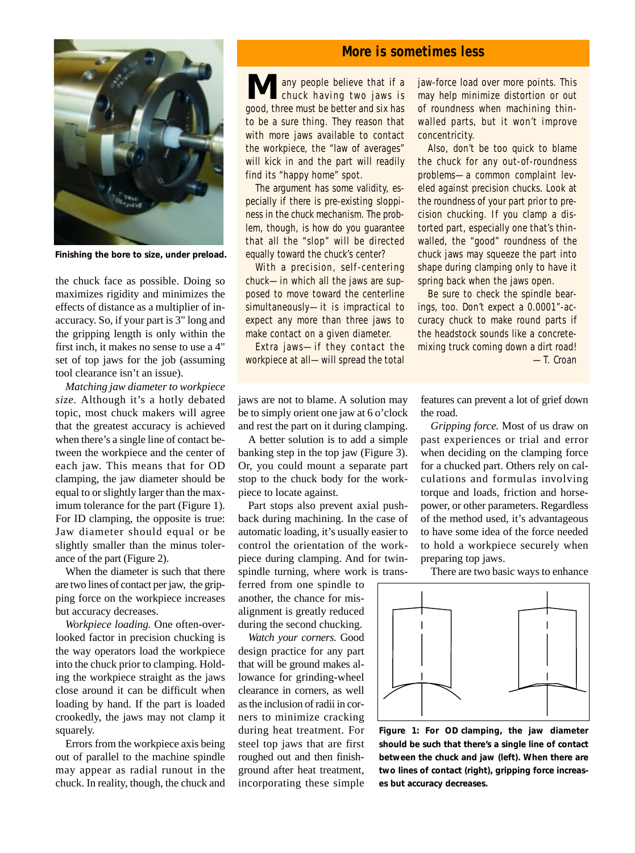**Finishing the bore to size, under preload.**

the chuck face as possible. Doing so maximizes rigidity and minimizes the effects of distance as a multiplier of inaccuracy. So, if your part is 3" long and the gripping length is only within the first inch, it makes no sense to use a 4" set of top jaws for the job (assuming tool clearance isn't an issue).

*Matching jaw diameter to workpiece size.* Although it's a hotly debated topic, most chuck makers will agree that the greatest accuracy is achieved when there's a single line of contact between the workpiece and the center of each jaw. This means that for OD clamping, the jaw diameter should be equal to or slightly larger than the maximum tolerance for the part (Figure 1). For ID clamping, the opposite is true: Jaw diameter should equal or be slightly smaller than the minus tolerance of the part (Figure 2).

When the diameter is such that there are two lines of contact per jaw, the gripping force on the workpiece increases but accuracy decreases.

*Workpiece loading.* One often-overlooked factor in precision chucking is the way operators load the workpiece into the chuck prior to clamping. Holding the workpiece straight as the jaws close around it can be difficult when loading by hand. If the part is loaded crookedly, the jaws may not clamp it squarely.

Errors from the workpiece axis being out of parallel to the machine spindle may appear as radial runout in the chuck. In reality, though, the chuck and

## **More is sometimes less**

**M** any people believe that if a chuck having two jaws is good, three must be better and six has to be a sure thing. They reason that with more jaws available to contact the workpiece, the "law of averages" will kick in and the part will readily find its "happy home" spot.

The argument has some validity, especially if there is pre-existing sloppiness in the chuck mechanism. The problem, though, is how do you guarantee that all the "slop" will be directed equally toward the chuck's center?

With a precision, self-centering chuck—in which all the jaws are supposed to move toward the centerline simultaneously—it is impractical to expect any more than three jaws to make contact on a given diameter.

Extra jaws—if they contact the workpiece at all—will spread the total jaw-force load over more points. This may help minimize distortion or out of roundness when machining thinwalled parts, but it won't improve concentricity.

Also, don't be too quick to blame the chuck for any out-of-roundness problems—a common complaint leveled against precision chucks. Look at the roundness of your part prior to precision chucking. If you clamp a distorted part, especially one that's thinwalled, the "good" roundness of the chuck jaws may squeeze the part into shape during clamping only to have it spring back when the jaws open.

Be sure to check the spindle bearings, too. Don't expect a 0.0001"-accuracy chuck to make round parts if the headstock sounds like a concretemixing truck coming down a dirt road! —T. Croan

jaws are not to blame. A solution may be to simply orient one jaw at 6 o'clock and rest the part on it during clamping.

A better solution is to add a simple banking step in the top jaw (Figure 3). Or, you could mount a separate part stop to the chuck body for the workpiece to locate against.

Part stops also prevent axial pushback during machining. In the case of automatic loading, it's usually easier to control the orientation of the workpiece during clamping. And for twinspindle turning, where work is trans-

ferred from one spindle to another, the chance for misalignment is greatly reduced during the second chucking.

*Watch your corners.* Good design practice for any part that will be ground makes allowance for grinding-wheel clearance in corners, as well as the inclusion of radii in corners to minimize cracking during heat treatment. For steel top jaws that are first roughed out and then finishground after heat treatment, incorporating these simple features can prevent a lot of grief down the road.

*Gripping force.* Most of us draw on past experiences or trial and error when deciding on the clamping force for a chucked part. Others rely on calculations and formulas involving torque and loads, friction and horsepower, or other parameters. Regardless of the method used, it's advantageous to have some idea of the force needed to hold a workpiece securely when preparing top jaws.

There are two basic ways to enhance



**Figure 1: For OD clamping, the jaw diameter should be such that there's a single line of contact between the chuck and jaw (left). When there are two lines of contact (right), gripping force increases but accuracy decreases.**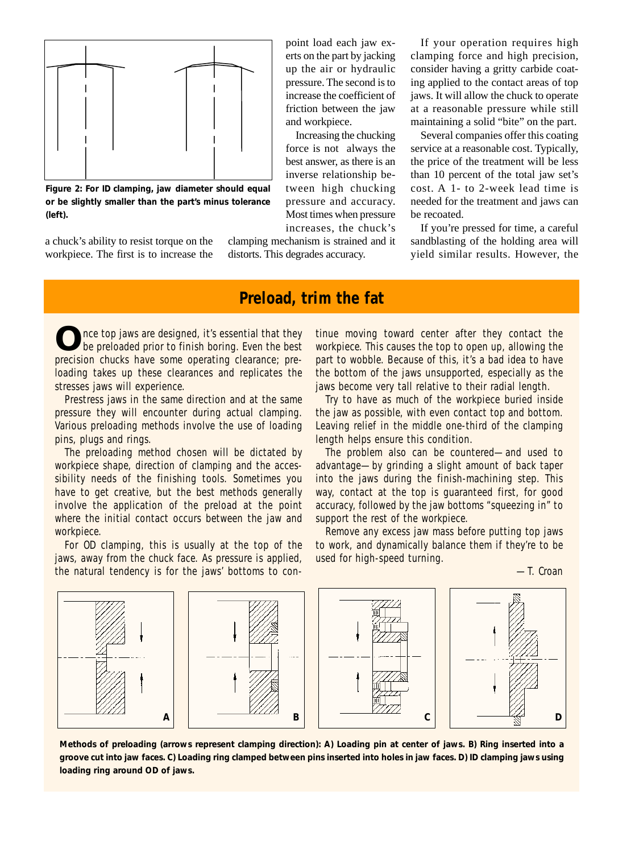

**Figure 2: For ID clamping, jaw diameter should equal or be slightly smaller than the part's minus tolerance (left).**

a chuck's ability to resist torque on the workpiece. The first is to increase the point load each jaw exerts on the part by jacking up the air or hydraulic pressure. The second is to increase the coefficient of friction between the jaw and workpiece.

Increasing the chucking force is not always the best answer, as there is an inverse relationship between high chucking pressure and accuracy. Most times when pressure increases, the chuck's

clamping mechanism is strained and it distorts. This degrades accuracy.

If your operation requires high clamping force and high precision, consider having a gritty carbide coating applied to the contact areas of top jaws. It will allow the chuck to operate at a reasonable pressure while still maintaining a solid "bite" on the part.

Several companies offer this coating service at a reasonable cost. Typically, the price of the treatment will be less than 10 percent of the total jaw set's cost. A 1- to 2-week lead time is needed for the treatment and jaws can be recoated.

If you're pressed for time, a careful sandblasting of the holding area will yield similar results. However, the

# **Preload, trim the fat**

nce top jaws are designed, it's essential that they be preloaded prior to finish boring. Even the best precision chucks have some operating clearance; preloading takes up these clearances and replicates the stresses jaws will experience.

Prestress jaws in the same direction and at the same pressure they will encounter during actual clamping. Various preloading methods involve the use of loading pins, plugs and rings.

The preloading method chosen will be dictated by workpiece shape, direction of clamping and the accessibility needs of the finishing tools. Sometimes you have to get creative, but the best methods generally involve the application of the preload at the point where the initial contact occurs between the jaw and workpiece.

For OD clamping, this is usually at the top of the jaws, away from the chuck face. As pressure is applied, the natural tendency is for the jaws' bottoms to continue moving toward center after they contact the workpiece. This causes the top to open up, allowing the part to wobble. Because of this, it's a bad idea to have the bottom of the jaws unsupported, especially as the jaws become very tall relative to their radial length.

Try to have as much of the workpiece buried inside the jaw as possible, with even contact top and bottom. Leaving relief in the middle one-third of the clamping length helps ensure this condition.

The problem also can be countered—and used to advantage—by grinding a slight amount of back taper into the jaws during the finish-machining step. This way, contact at the top is guaranteed first, for good accuracy, followed by the jaw bottoms "squeezing in" to support the rest of the workpiece.

Remove any excess jaw mass before putting top jaws to work, and dynamically balance them if they're to be used for high-speed turning.

—T. Croan



**Methods of preloading (arrows represent clamping direction): A) Loading pin at center of jaws. B) Ring inserted into a groove cut into jaw faces. C) Loading ring clamped between pins inserted into holes in jaw faces. D) ID clamping jaws using loading ring around OD of jaws.**